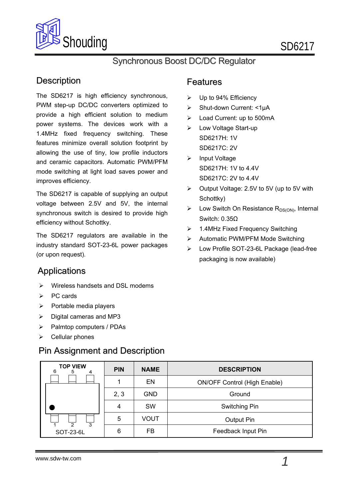

## Synchronous Boost DC/DC Regulator

## **Description**

The SD6217 is high efficiency synchronous, PWM step-up DC/DC converters optimized to provide a high efficient solution to medium power systems. The devices work with a 1.4MHz fixed frequency switching. These features minimize overall solution footprint by allowing the use of tiny, low profile inductors and ceramic capacitors. Automatic PWM/PFM mode switching at light load saves power and improves efficiency.

The SD6217 is capable of supplying an output voltage between 2.5V and 5V, the internal synchronous switch is desired to provide high efficiency without Schottky.

The SD6217 regulators are available in the industry standard SOT-23-6L power packages (or upon request).

## **Applications**

- Wireless handsets and DSL modems
- $\triangleright$  PC cards
- $\triangleright$  Portable media players
- $\triangleright$  Digital cameras and MP3
- $\triangleright$  Palmtop computers / PDAs
- $\triangleright$  Cellular phones

## Pin Assignment and Description

#### Features

- $\triangleright$  Up to 94% Efficiency
- Shut-down Current: <1μA
- Load Current: up to 500mA
- SD6217C: 2V SD6217H: 1V Low Voltage Start-up
- SD6217C: 2V to 4.4V SD6217H: 1V to 4.4V > Input Voltage
- Output Voltage: 2.5V to 5V (up to 5V with Schottky)
- $\triangleright$  Low Switch On Resistance R<sub>DS(ON)</sub>, Internal Switch: 0.35Ω
- ▶ 1.4MHz Fixed Frequency Switching
- > Automatic PWM/PFM Mode Switching
- Low Profile SOT-23-6L Package (lead-free packaging is now available)

| <b>TOP VIEW</b><br>6 | <b>PIN</b>                      | <b>NAME</b> | <b>DESCRIPTION</b>                  |
|----------------------|---------------------------------|-------------|-------------------------------------|
|                      |                                 | EN          | <b>ON/OFF Control (High Enable)</b> |
|                      | 2, 3                            | <b>GND</b>  | Ground                              |
|                      | <b>SW</b><br>Switching Pin<br>4 |             |                                     |
| $\overline{3}$<br>2  | <b>VOUT</b><br>5                |             | Output Pin                          |
| SOT-23-6L            | 6                               | FB          | Feedback Input Pin                  |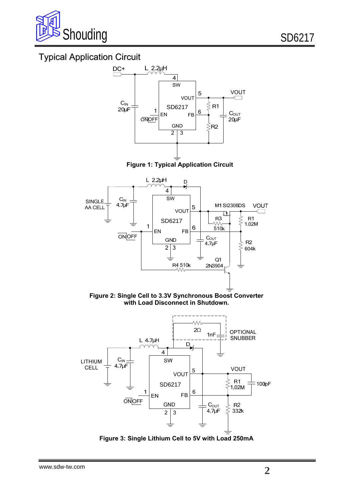

# Typical Application Circuit



**Figure 1: Typical Application Circuit**



**Figure 2: Single Cell to 3.3V Synchronous Boost Converter with Load Disconnect in Shutdown.** 



**Figure 3: Single Lithium Cell to 5V with Load 250mA**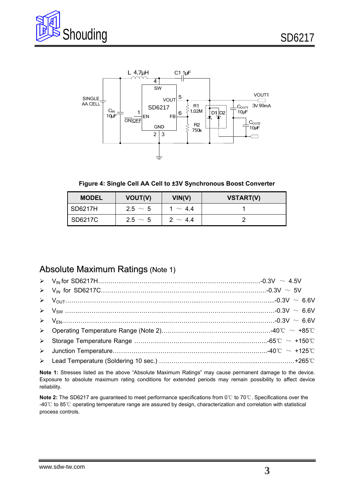



**Figure 4: Single Cell AA Cell to ±3V Synchronous Boost Converter** 

| <b>MODEL</b> | VOUT(V)      | VIN(V)       | <b>VSTART(V)</b> |
|--------------|--------------|--------------|------------------|
| I SD6217H    | $2.5 \sim 5$ | 1 $\sim$ 44  |                  |
| SD6217C      | $2.5 \sim 5$ | $2 \sim 4.4$ |                  |

#### Absolute Maximum Ratings (Note 1)

| $\triangleright \quad V_{\text{OUT}}$ 0.3V $\sim 6.6V$ |  |
|--------------------------------------------------------|--|
|                                                        |  |
|                                                        |  |
|                                                        |  |
|                                                        |  |
|                                                        |  |
|                                                        |  |

**Note 1:** Stresses listed as the above "Absolute Maximum Ratings" may cause permanent damage to the device. Exposure to absolute maximum rating conditions for extended periods may remain possibility to affect device reliability.

Note 2: The SD6217 are guaranteed to meet performance specifications from 0℃ to 70℃. Specifications over the -40℃ to 85℃ operating temperature range are assured by design, characterization and correlation with statistical process controls.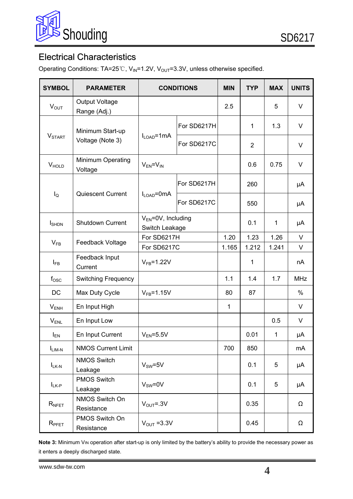

# Electrical Characteristics

Operating Conditions: TA=25°C, V<sub>IN</sub>=1.2V, V<sub>OUT</sub>=3.3V, unless otherwise specified.

| <b>SYMBOL</b>     | <b>PARAMETER</b>                      | <b>CONDITIONS</b>                           |             | <b>MIN</b>   | <b>TYP</b>     | <b>MAX</b>  | <b>UNITS</b> |
|-------------------|---------------------------------------|---------------------------------------------|-------------|--------------|----------------|-------------|--------------|
| $V_{OUT}$         | <b>Output Voltage</b><br>Range (Adj.) |                                             |             | 2.5          |                | 5           | V            |
| <b>V</b> START    | Minimum Start-up<br>Voltage (Note 3)  | $I_{LOAD} = 1 mA$                           | For SD6217H |              | 1              | 1.3         | V            |
|                   |                                       |                                             | For SD6217C |              | $\overline{2}$ |             | V            |
| <b>V</b> HOLD     | Minimum Operating<br>Voltage          | $V_{EN} = V_{IN}$                           |             |              | 0.6            | 0.75        | V            |
| $I_{\mathsf{Q}}$  | <b>Quiescent Current</b>              | $I_{\text{LOAD}} = 0 \text{mA}$             | For SD6217H |              | 260            |             | μA           |
|                   |                                       |                                             | For SD6217C |              | 550            |             | μA           |
| <b>I</b> SHDN     | <b>Shutdown Current</b>               | $V_{EN} = 0V$ , Including<br>Switch Leakage |             |              | 0.1            | $\mathbf 1$ | μA           |
|                   |                                       | For SD6217H                                 |             | 1.20         | 1.23           | 1.26        | V            |
| $V_{FB}$          | Feedback Voltage                      | For SD6217C                                 |             | 1.165        | 1.212          | 1.241       | V            |
| l <sub>FB</sub>   | Feedback Input<br>Current             | $V_{FB} = 1.22V$                            |             |              | 1              |             | nA           |
| $f_{\rm OSC}$     | Switching Frequency                   |                                             |             | 1.1          | 1.4            | 1.7         | <b>MHz</b>   |
| <b>DC</b>         | Max Duty Cycle                        | $VFB=1.15V$                                 |             | 80           | 87             |             | $\%$         |
| $V_{ENH}$         | En Input High                         |                                             |             | $\mathbf{1}$ |                |             | V            |
| $V_{\text{ENL}}$  | En Input Low                          |                                             |             |              |                | 0.5         | V            |
| $I_{EN}$          | En Input Current                      | $V_{EN} = 5.5V$                             |             |              | 0.01           | 1           | μA           |
| $I_{LIM-N}$       | <b>NMOS Current Limit</b>             |                                             |             | 700          | 850            |             | mA           |
| $I_{LK-N}$        | <b>NMOS Switch</b><br>Leakage         | $V_{SW} = 5V$                               |             |              | 0.1            | 5           | μA           |
| $I_{LK-P}$        | <b>PMOS Switch</b><br>Leakage         | $V_{SW} = 0V$                               |             |              | 0.1            | 5           | μA           |
| $R_{NFET}$        | NMOS Switch On<br>Resistance          | $V_{\text{OUT}} = .3V$                      |             |              | 0.35           |             | Ω            |
| $R_{\text{PFET}}$ | PMOS Switch On<br>Resistance          | $V_{\text{OUT}} = 3.3V$                     |             |              | 0.45           |             | Ω            |

Note 3: Minimum V<sub>IN</sub> operation after start-up is only limited by the battery's ability to provide the necessary power as it enters a deeply discharged state.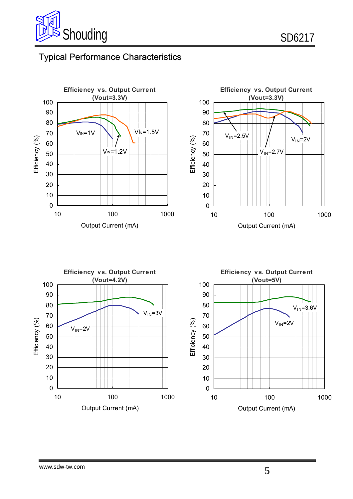

# Typical Performance Characteristics



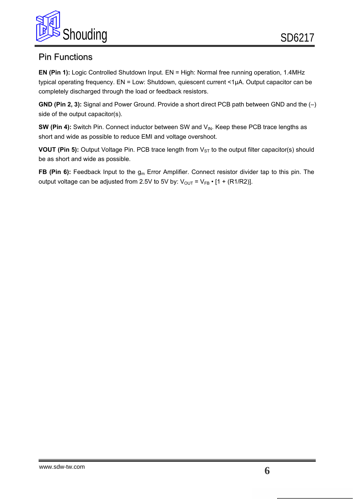

### Pin Functions

**EN (Pin 1):** Logic Controlled Shutdown Input. EN = High: Normal free running operation, 1.4MHz typical operating frequency. EN = Low: Shutdown, quiescent current <1µA. Output capacitor can be completely discharged through the load or feedback resistors.

**GND (Pin 2, 3):** Signal and Power Ground. Provide a short direct PCB path between GND and the (–) side of the output capacitor(s).

**SW (Pin 4):** Switch Pin. Connect inductor between SW and V<sub>IN</sub>. Keep these PCB trace lengths as short and wide as possible to reduce EMI and voltage overshoot.

**VOUT (Pin 5):** Output Voltage Pin. PCB trace length from V<sub>ST</sub> to the output filter capacitor(s) should be as short and wide as possible.

**FB (Pin 6):** Feedback Input to the g<sub>m</sub> Error Amplifier. Connect resistor divider tap to this pin. The output voltage can be adjusted from 2.5V to 5V by:  $V_{\text{OUT}} = V_{\text{FB}} \cdot [1 + (R1/R2)].$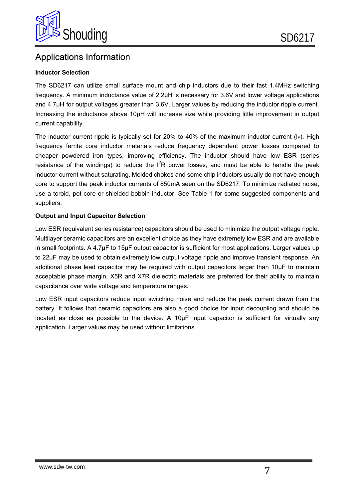

### Applications Information

#### **Inductor Selection**

The SD6217 can utilize small surface mount and chip inductors due to their fast 1.4MHz switching frequency. A minimum inductance value of 2.2μH is necessary for 3.6V and lower voltage applications and 4.7μH for output voltages greater than 3.6V. Larger values by reducing the inductor ripple current. Increasing the inductance above 10μH will increase size while providing little improvement in output current capability.

core to support the peak inductor currents of 850mA seen on the SD6217. To minimize radiated noise, The inductor current ripple is typically set for 20% to 40% of the maximum inductor current (IP). High frequency ferrite core inductor materials reduce frequency dependent power losses compared to cheaper powdered iron types, improving efficiency. The inductor should have low ESR (series resistance of the windings) to reduce the  $I<sup>2</sup>R$  power losses, and must be able to handle the peak inductor current without saturating. Molded chokes and some chip inductors usually do not have enough use a toroid, pot core or shielded bobbin inductor. See Table 1 for some suggested components and suppliers.

#### **Output and Input Capacitor Selection**

Low ESR (equivalent series resistance) capacitors should be used to minimize the output voltage ripple. Multilayer ceramic capacitors are an excellent choice as they have extremely low ESR and are available in small footprints. A 4.7μF to 15μF output capacitor is sufficient for most applications. Larger values up to 22μF may be used to obtain extremely low output voltage ripple and improve transient response. An additional phase lead capacitor may be required with output capacitors larger than 10μF to maintain acceptable phase margin. X5R and X7R dielectric materials are preferred for their ability to maintain capacitance over wide voltage and temperature ranges.

Low ESR input capacitors reduce input switching noise and reduce the peak current drawn from the battery. It follows that ceramic capacitors are also a good choice for input decoupling and should be located as close as possible to the device. A 10μF input capacitor is sufficient for virtually any application. Larger values may be used without limitations.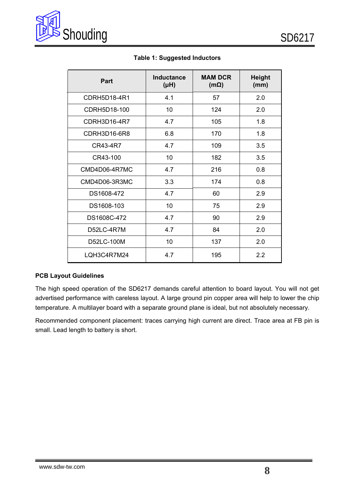

| Part          | <b>Inductance</b><br>$(\mu H)$ | <b>MAM DCR</b><br>$(m\Omega)$ | <b>Height</b><br>(mm) |
|---------------|--------------------------------|-------------------------------|-----------------------|
| CDRH5D18-4R1  | 4.1                            | 57                            | 2.0                   |
| CDRH5D18-100  | 10                             | 124                           | 2.0                   |
| CDRH3D16-4R7  | 4.7                            | 105                           | 1.8                   |
| CDRH3D16-6R8  | 6.8                            | 170                           | 1.8                   |
| CR43-4R7      | 4.7                            | 109                           | 3.5                   |
| CR43-100      | 10                             | 182                           | 3.5                   |
| CMD4D06-4R7MC | 4.7                            | 216                           | 0.8                   |
| CMD4D06-3R3MC | 3.3                            | 174                           | 0.8                   |
| DS1608-472    | 4.7                            | 60                            | 2.9                   |
| DS1608-103    | 10                             | 75                            | 2.9                   |
| DS1608C-472   | 4.7                            | 90                            | 2.9                   |
| D52LC-4R7M    | 4.7                            | 84                            | 2.0                   |
| D52LC-100M    | 10                             | 137                           | 2.0                   |
| LQH3C4R7M24   | 4.7                            | 195                           | 2.2                   |

**Table 1: Suggested Inductors** 

#### **PCB Layout Guidelines**

The high speed operation of the SD6217 demands careful attention to board layout. You will not get advertised performance with careless layout. A large ground pin copper area will help to lower the chip temperature. A multilayer board with a separate ground plane is ideal, but not absolutely necessary.

Recommended component placement: traces carrying high current are direct. Trace area at FB pin is small. Lead length to battery is short.